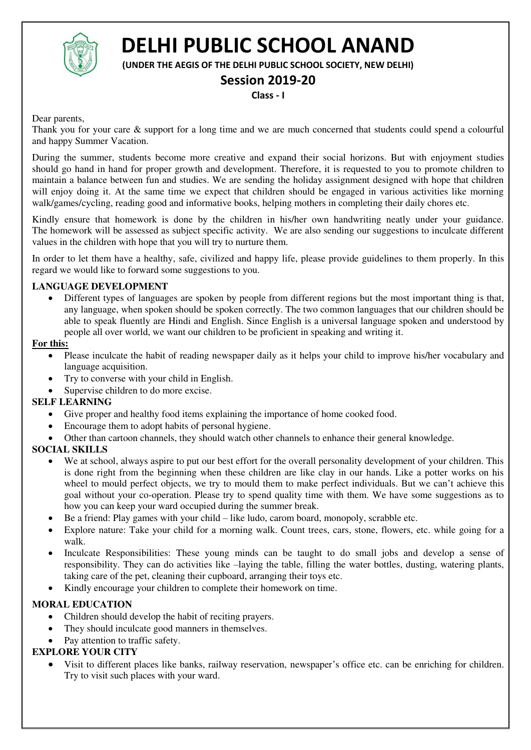

# **DELHI PUBLIC SCHOOL ANAND**

**(UNDER THE AEGIS OF THE DELHI PUBLIC SCHOOL SOCIETY, NEW DELHI)** 

### **Session 2019-20**

**Class - I** 

Dear parents,

Thank you for your care  $\&$  support for a long time and we are much concerned that students could spend a colourful and happy Summer Vacation.

During the summer, students become more creative and expand their social horizons. But with enjoyment studies should go hand in hand for proper growth and development. Therefore, it is requested to you to promote children to maintain a balance between fun and studies. We are sending the holiday assignment designed with hope that children will enjoy doing it. At the same time we expect that children should be engaged in various activities like morning walk/games/cycling, reading good and informative books, helping mothers in completing their daily chores etc.

Kindly ensure that homework is done by the children in his/her own handwriting neatly under your guidance. The homework will be assessed as subject specific activity. We are also sending our suggestions to inculcate different values in the children with hope that you will try to nurture them.

In order to let them have a healthy, safe, civilized and happy life, please provide guidelines to them properly. In this regard we would like to forward some suggestions to you.

#### **LANGUAGE DEVELOPMENT**

 Different types of languages are spoken by people from different regions but the most important thing is that, any language, when spoken should be spoken correctly. The two common languages that our children should be able to speak fluently are Hindi and English. Since English is a universal language spoken and understood by people all over world, we want our children to be proficient in speaking and writing it.

#### **For this:**

- Please inculcate the habit of reading newspaper daily as it helps your child to improve his/her vocabulary and language acquisition.
- Try to converse with your child in English.
- Supervise children to do more excise.

#### **SELF LEARNING**

- Give proper and healthy food items explaining the importance of home cooked food.
- Encourage them to adopt habits of personal hygiene.
- Other than cartoon channels, they should watch other channels to enhance their general knowledge.

#### **SOCIAL SKILLS**

- We at school, always aspire to put our best effort for the overall personality development of your children. This is done right from the beginning when these children are like clay in our hands. Like a potter works on his wheel to mould perfect objects, we try to mould them to make perfect individuals. But we can't achieve this goal without your co-operation. Please try to spend quality time with them. We have some suggestions as to how you can keep your ward occupied during the summer break.
- Be a friend: Play games with your child like ludo, carom board, monopoly, scrabble etc.
- Explore nature: Take your child for a morning walk. Count trees, cars, stone, flowers, etc. while going for a walk.
- Inculcate Responsibilities: These young minds can be taught to do small jobs and develop a sense of responsibility. They can do activities like –laying the table, filling the water bottles, dusting, watering plants, taking care of the pet, cleaning their cupboard, arranging their toys etc.
- Kindly encourage your children to complete their homework on time.

#### **MORAL EDUCATION**

- Children should develop the habit of reciting prayers.
- They should inculcate good manners in themselves.
- Pay attention to traffic safety.

#### **EXPLORE YOUR CITY**

 Visit to different places like banks, railway reservation, newspaper's office etc. can be enriching for children. Try to visit such places with your ward.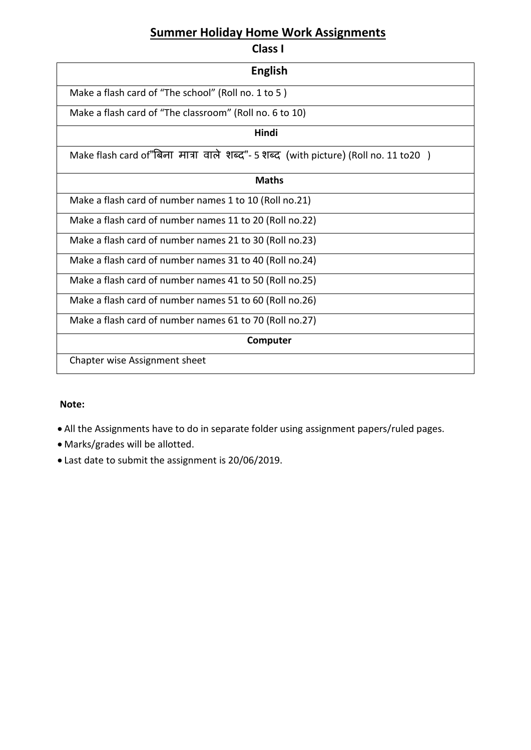# **Summer Holiday Home Work Assignments**

**Class I** 

| <b>English</b>                                                                      |  |  |  |  |
|-------------------------------------------------------------------------------------|--|--|--|--|
| Make a flash card of "The school" (Roll no. 1 to 5)                                 |  |  |  |  |
| Make a flash card of "The classroom" (Roll no. 6 to 10)                             |  |  |  |  |
| Hindi                                                                               |  |  |  |  |
| Make flash card of"बिना मात्रा वाले शब्द"- 5 शब्द (with picture) (Roll no. 11 to20) |  |  |  |  |
| <b>Maths</b>                                                                        |  |  |  |  |
| Make a flash card of number names 1 to 10 (Roll no.21)                              |  |  |  |  |
| Make a flash card of number names 11 to 20 (Roll no.22)                             |  |  |  |  |
| Make a flash card of number names 21 to 30 (Roll no.23)                             |  |  |  |  |
| Make a flash card of number names 31 to 40 (Roll no.24)                             |  |  |  |  |
| Make a flash card of number names 41 to 50 (Roll no.25)                             |  |  |  |  |
| Make a flash card of number names 51 to 60 (Roll no.26)                             |  |  |  |  |
| Make a flash card of number names 61 to 70 (Roll no.27)                             |  |  |  |  |
| Computer                                                                            |  |  |  |  |
| Chapter wise Assignment sheet                                                       |  |  |  |  |

#### **Note:**

- All the Assignments have to do in separate folder using assignment papers/ruled pages.
- Marks/grades will be allotted.
- Last date to submit the assignment is 20/06/2019.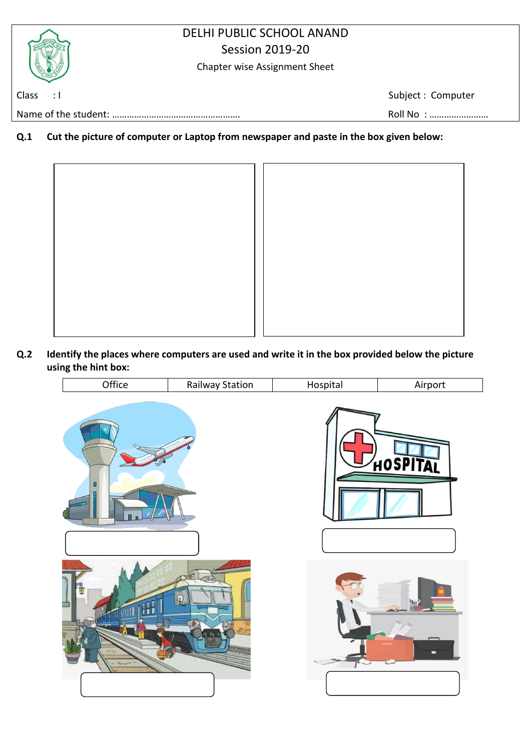## DELHI PUBLIC SCHOOL ANAND Session 2019-20

Chapter wise Assignment Sheet

Class : I Subject : Computer

Name of the student: ……………………………………………. Roll No : ……………………

**Q.1 Cut the picture of computer or Laptop from newspaper and paste in the box given below:** 



**Q.2 Identify the places where computers are used and write it in the box provided below the picture using the hint box:** 

| <br>)ttice | Station<br>Rallway | . |
|------------|--------------------|---|
|            |                    |   |